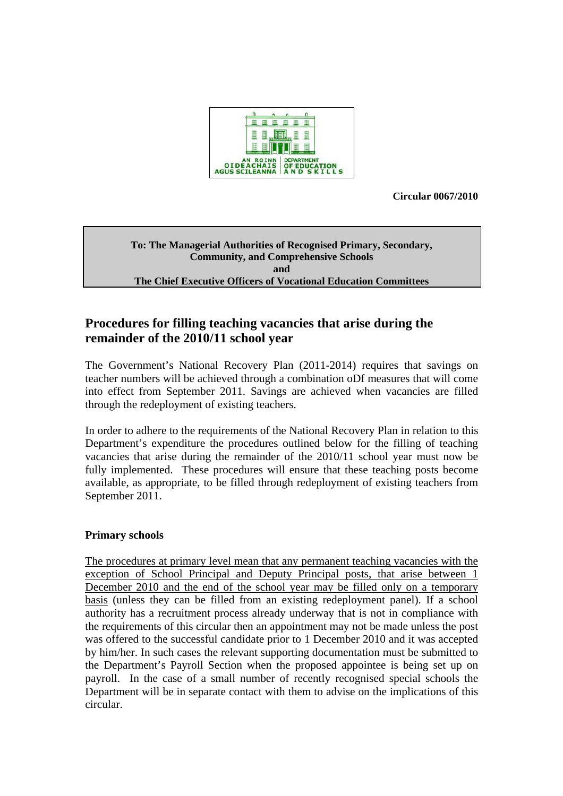

**Circular 0067/2010** 

#### **To: The Managerial Authorities of Recognised Primary, Secondary, Community, and Comprehensive Schools and The Chief Executive Officers of Vocational Education Committees**

# **Procedures for filling teaching vacancies that arise during the remainder of the 2010/11 school year**

The Government's National Recovery Plan (2011-2014) requires that savings on teacher numbers will be achieved through a combination oDf measures that will come into effect from September 2011. Savings are achieved when vacancies are filled through the redeployment of existing teachers.

In order to adhere to the requirements of the National Recovery Plan in relation to this Department's expenditure the procedures outlined below for the filling of teaching vacancies that arise during the remainder of the 2010/11 school year must now be fully implemented. These procedures will ensure that these teaching posts become available, as appropriate, to be filled through redeployment of existing teachers from September 2011.

## **Primary schools**

The procedures at primary level mean that any permanent teaching vacancies with the exception of School Principal and Deputy Principal posts, that arise between 1 December 2010 and the end of the school year may be filled only on a temporary basis (unless they can be filled from an existing redeployment panel). If a school authority has a recruitment process already underway that is not in compliance with the requirements of this circular then an appointment may not be made unless the post was offered to the successful candidate prior to 1 December 2010 and it was accepted by him/her. In such cases the relevant supporting documentation must be submitted to the Department's Payroll Section when the proposed appointee is being set up on payroll. In the case of a small number of recently recognised special schools the Department will be in separate contact with them to advise on the implications of this circular.